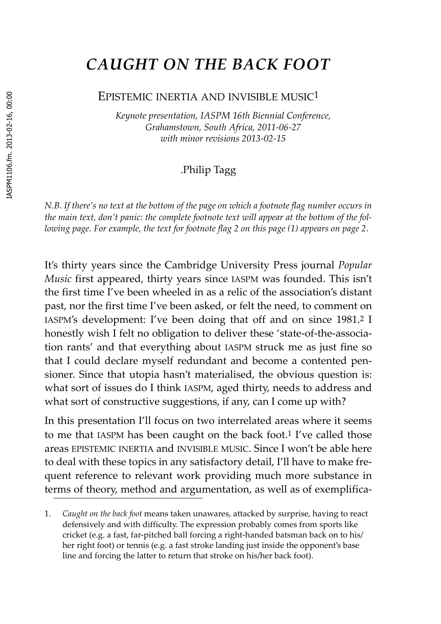# ASPM1106.fm. 2013-02-16, 00:00 IASPM1106.fm. 2013-02-16, 00:00

# *CAUGHT ON THE BACK FOOT*

#### EPISTEMIC INERTIA AND INVISIBLE MUSIC1

*Keynote presentation, IASPM 16th Biennial Conference, Grahamstown, South Africa, 2011‐06‐27 with minor revisions 2013‐02‐15*

#### .Philip Tagg

*N.B. If there's no text at the bottom of the page on which a footnote flag number occurs in the main text, don't panic: the complete footnote text will appear at the bottom of the fol‐* lowing page. For example, the text for footnote flag 2 on this page ([1](#page-0-0)) appears on page 2.

<span id="page-0-0"></span>It's thirty years since the Cambridge University Press journal *Popular Music* first appeared, thirty years since IASPM was founded. This isn't the first time I've been wheeled in as a relic of the association's distant past, nor the first time I've been asked, or felt the need, to comment on IASPM's development: I've been doing that off and on since 1981.2 I honestly wish I felt no obligation to deliver these 'state-of-the-association rants' and that everything about IASPM struck me as just fine so that I could declare myself redundant and become a contented pensioner. Since that utopia hasn't materialised, the obvious question is: what sort of issues do I think IASPM, aged thirty, needs to address and what sort of constructive suggestions, if any, can I come up with?

In this presentation I'll focus on two interrelated areas where it seems to me that IASPM has been caught on the back foot.1 I've called those areas EPISTEMIC INERTIA and INVISIBLE MUSIC. Since I won't be able here to deal with these topics in any satisfactory detail, I'll have to make frequent reference to relevant work providing much more substance in terms of theory, method and argumentation, as well as of exemplifica-

<sup>1.</sup> *Caught on the back foot* means taken unawares, attacked by surprise, having to react defensively and with difficulty. The expression probably comes from sports like cricket (e.g. a fast, far‐pitched ball forcing a right‐handed batsman back on to his/ her right foot) or tennis (e.g. a fast stroke landing just inside the opponent's base line and forcing the latter to return that stroke on his/her back foot).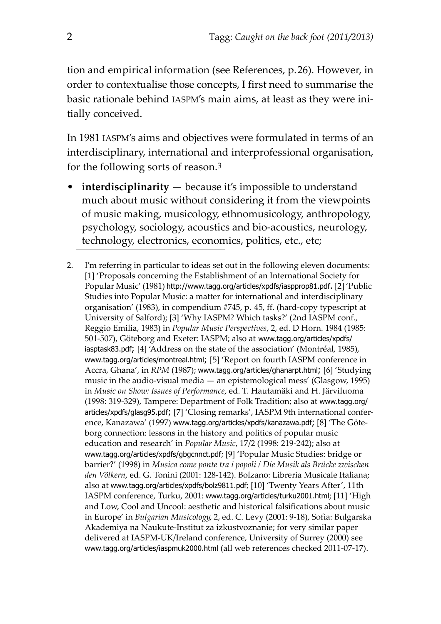tion and empirical information (see References, p.26). However, in order to contextualise those concepts, I first need to summarise the basic rationale behind IASPM's main aims, at least as they were ini‐ tially conceived.

In 1981 IASPM's aims and objectives were formulated in terms of an interdisciplinary, international and interprofessional organisation, for the following sorts of reason.3

- **interdisciplinarity** because it's impossible to understand much about music without considering it from the viewpoints of music making, musicology, ethnomusicology, anthropology, psychology, sociology, acoustics and bio‐acoustics, neurology, technology, electronics, economics, politics, etc., etc;
- 2. I'm referring in particular to ideas set out in the following eleven documents: [1] 'Proposals concerning the Establishment of an International Society for Popular Music' (1981) http://www.tagg.org/articles/xpdfs/iaspprop81.pdf. [2] 'Public Studies into Popular Music: a matter for international and interdisciplinary organisation' (1983), in compendium #745, p. 45, ff. (hard‐copy typescript at University of Salford); [3] 'Why IASPM? Which tasks?' (2nd IASPM conf., Reggio Emilia, 1983) in *Popular Music Perspectives*, 2, ed. D Horn. 1984 (1985: 501‐507), Göteborg and Exeter: IASPM; also at www.tagg.org/articles/xpdfs/ iasptask83.pdf; [4] 'Address on the state of the association' (Montréal, 1985), www.tagg.org/articles/montreal.html; [5] 'Report on fourth IASPM conference in Accra, Ghana', in *RPM* (1987); www.tagg.org/articles/ghanarpt.html; [6] 'Studying music in the audio‐visual media — an epistemological mess' (Glasgow, 1995) in *Music on Show: Issues of Performance*, ed. T. Hautamäki and H. Järviluoma (1998: 319‐329), Tampere: Department of Folk Tradition; also at www.tagg.org/ articles/xpdfs/glasg95.pdf; [7] 'Closing remarks', IASPM 9th international confer‐ ence, Kanazawa' (1997) www.tagg.org/articles/xpdfs/kanazawa.pdf; [8] 'The Göte‐ borg connection: lessons in the history and politics of popular music education and research' in *Popular Music*, 17/2 (1998: 219‐242); also at www.tagg.org/articles/xpdfs/gbgcnnct.pdf; [9] 'Popular Music Studies: bridge or barrier?' (1998) in *Musica come ponte tra i popoli / Die Musik als Brücke zwischen den Völkern*, ed. G. Tonini (2001: 128‐142). Bolzano: Libreria Musicale Italiana; also at www.tagg.org/articles/xpdfs/bolz9811.pdf; [10] 'Twenty Years After', 11th IASPM conference, Turku, 2001: www.tagg.org/articles/turku2001.html; [11] 'High and Low, Cool and Uncool: aesthetic and historical falsifications about music in Europe' in *Bulgarian Musicology*, 2, ed. C. Levy (2001: 9‐18), Sofia: Bulgarska Akademiya na Naukute‐Institut za izkustvoznanie; for very similar paper delivered at IASPM‐UK/Ireland conference, University of Surrey (2000) see www.tagg.org/articles/iaspmuk2000.html (all web references checked 2011‐07‐17).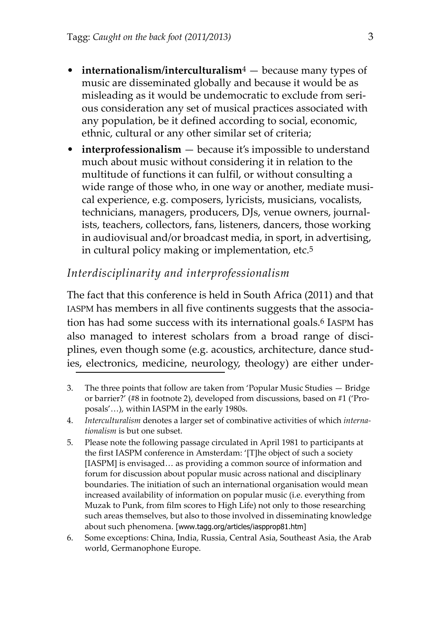- **internationalism/interculturalism**4 because many types of music are disseminated globally and because it would be as misleading as it would be undemocratic to exclude from serious consideration any set of musical practices associated with any population, be it defined according to social, economic, ethnic, cultural or any other similar set of criteria;
- **interprofessionalism** because it's impossible to understand much about music without considering it in relation to the multitude of functions it can fulfil, or without consulting a wide range of those who, in one way or another, mediate musical experience, e.g. composers, lyricists, musicians, vocalists, technicians, managers, producers, DJs, venue owners, journal‐ ists, teachers, collectors, fans, listeners, dancers, those working in audiovisual and/or broadcast media, in sport, in advertising, in cultural policy making or implementation, etc.5

# *Interdisciplinarity and interprofessionalism*

The fact that this conference is held in South Africa (2011) and that IASPM has members in all five continents suggests that the associa‐ tion has had some success with its international goals.6 IASPM has also managed to interest scholars from a broad range of disciplines, even though some (e.g. acoustics, architecture, dance stud‐ ies, electronics, medicine, neurology, theology) are either under‐

- 3. The three points that follow are taken from 'Popular Music Studies Bridge or barrier?' (#8 in footnote 2), developed from discussions, based on #1 ('Pro‐ posals'…), within IASPM in the early 1980s.
- 4. *Interculturalism* denotes a larger set of combinative activities of which *interna‐ tionalism* is but one subset.
- 5. Please note the following passage circulated in April 1981 to participants at the first IASPM conference in Amsterdam: '[T]he object of such a society [IASPM] is envisaged… as providing a common source of information and forum for discussion about popular music across national and disciplinary boundaries. The initiation of such an international organisation would mean increased availability of information on popular music (i.e. everything from Muzak to Punk, from film scores to High Life) not only to those researching such areas themselves, but also to those involved in disseminating knowledge about such phenomena. [www.tagg.org/articles/iaspprop81.htm]
- 6. Some exceptions: China, India, Russia, Central Asia, Southeast Asia, the Arab world, Germanophone Europe.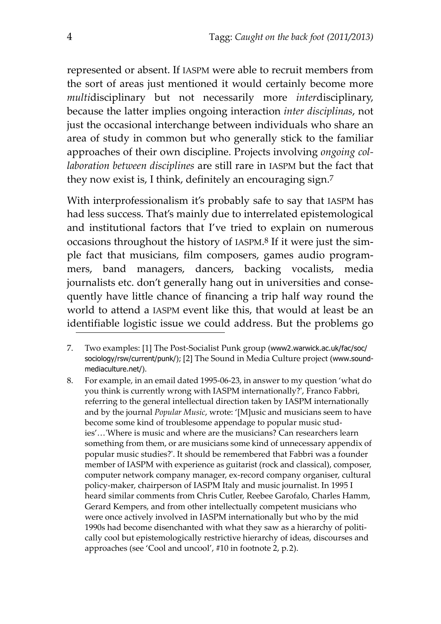represented or absent. If IASPM were able to recruit members from the sort of areas just mentioned it would certainly become more *multi*disciplinary but not necessarily more *inter*disciplinary, because the latter implies ongoing interaction *inter disciplinas*, not just the occasional interchange between individuals who share an area of study in common but who generally stick to the familiar approaches of their own discipline. Projects involving *ongoing col‐ laboration between disciplines* are still rare in IASPM but the fact that they now exist is, I think, definitely an encouraging sign.7

With interprofessionalism it's probably safe to say that IASPM has had less success. That's mainly due to interrelated epistemological and institutional factors that I've tried to explain on numerous occasions throughout the history of IASPM.8 If it were just the sim‐ ple fact that musicians, film composers, games audio program‐ mers, band managers, dancers, backing vocalists, media journalists etc. don't generally hang out in universities and consequently have little chance of financing a trip half way round the world to attend a IASPM event like this, that would at least be an identifiable logistic issue we could address. But the problems go

- 7. Two examples: [1] The Post‐Socialist Punk group (www2.warwick.ac.uk/fac/soc/ sociology/rsw/current/punk/); [2] The Sound in Media Culture project (www.soundmediaculture.net/).
- 8. For example, in an email dated 1995‐06‐23, in answer to my question 'what do you think is currently wrong with IASPM internationally?ʹ, Franco Fabbri, referring to the general intellectual direction taken by IASPM internationally and by the journal *Popular Music*, wrote: '[M]usic and musicians seem to have become some kind of troublesome appendage to popular music studies'…ʹWhere is music and where are the musicians? Can researchers learn something from them, or are musicians some kind of unnecessary appendix of popular music studies?ʹ. It should be remembered that Fabbri was a founder member of IASPM with experience as guitarist (rock and classical), composer, computer network company manager, ex‐record company organiser, cultural policy‐maker, chairperson of IASPM Italy and music journalist. In 1995 I heard similar comments from Chris Cutler, Reebee Garofalo, Charles Hamm, Gerard Kempers, and from other intellectually competent musicians who were once actively involved in IASPM internationally but who by the mid 1990s had become disenchanted with what they saw as a hierarchy of politically cool but epistemologically restrictive hierarchy of ideas, discourses and approaches (see 'Cool and uncool', #10 in footnote 2, p.2).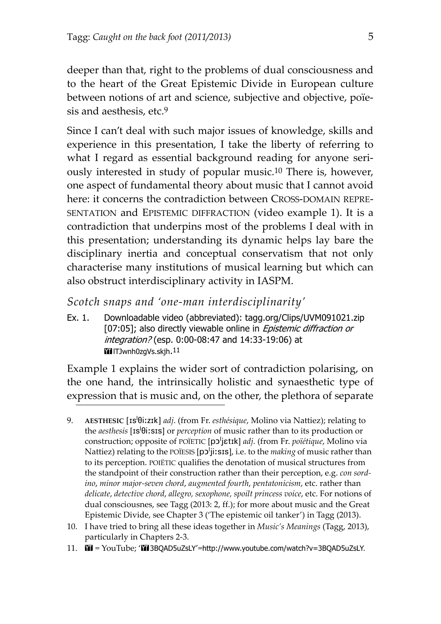deeper than that, right to the problems of dual consciousness and to the heart of the Great Epistemic Divide in European culture between notions of art and science, subjective and objective, poïesis and aesthesis, etc.9

Since I can't deal with such major issues of knowledge, skills and experience in this presentation, I take the liberty of referring to what I regard as essential background reading for anyone seriously interested in study of popular music.10 There is, however, one aspect of fundamental theory about music that I cannot avoid here: it concerns the contradiction between CROSS-DOMAIN REPRE-SENTATION and EPISTEMIC DIFFRACTION (video example 1). It is a contradiction that underpins most of the problems I deal with in this presentation; understanding its dynamic helps lay bare the disciplinary inertia and conceptual conservatism that not only characterise many institutions of musical learning but which can also obstruct interdisciplinary activity in IASPM.

- *Scotch snaps and 'one‐man interdisciplinarity'*
- Ex. 1. Downloadable video (abbreviated): tagg.org/Clips/UVM091021.zip [07:05]; also directly viewable online in *Epistemic diffraction or* integration? (esp. 0:00-08:47 and 14:33-19:06) at IIITJwnh0zgVs.skjh.11

Example 1 explains the wider sort of contradiction polarising, on the one hand, the intrinsically holistic and synaesthetic type of expression that is music and, on the other, the plethora of separate

- 10. I have tried to bring all these ideas together in *Music's Meanings* (Tagg, 2013), particularly in Chapters 2‐3.
- 11.  $\mathbf{M} = \text{YouTube}$ ; ' $\mathbf{M}$  3BQAD5uZsLY'=http://www.youtube.com/watch?v=3BQAD5uZsLY.

<sup>9.</sup> **AESTHESIC** [Is<sup>I</sup> $\theta$ i:zIk] *adj.* (from Fr. *esthésique*, Molino via Nattiez); relating to the *aesthesis* [Is<sup>1</sup> $\theta$ i:sIs] or *perception* of music rather than to its production or construction; opposite of POÏETIC [pO!jEtIk] *adj*. (from Fr. *poïétique*, Molino via Nattiez) relating to the POÏESIS [pɔ<sup>l</sup>jiːsɪs], i.e. to the *making* of music rather than to its perception. POIËTIC qualifies the denotation of musical structures from the standpoint of their construction rather than their perception, e.g. *con sord‐ ino*, *minor major‐seven chord*, *augmented fourth*, *pentatonicism*, etc. rather than *delicate*, *detective chord*, *allegro, sexophone, spoilt princess voice*, etc. For notions of dual consciousnes, see Tagg (2013: 2, ff.); for more about music and the Great Epistemic Divide, see Chapter 3 ('The epistemic oil tanker') in Tagg (2013).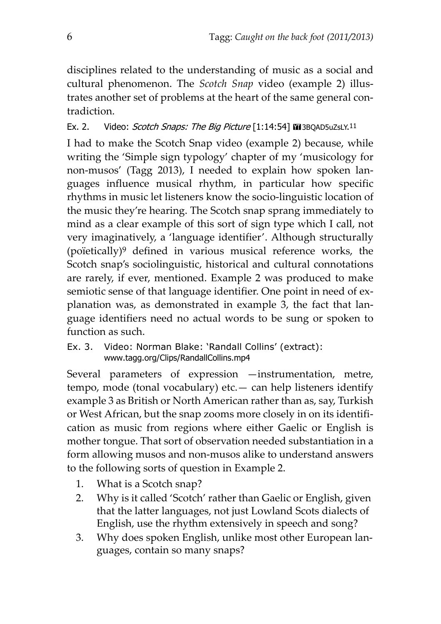disciplines related to the understanding of music as a social and cultural phenomenon. The *Scotch Snap* video (example 2) illus‐ trates another set of problems at the heart of the same general contradiction.

Ex. 2. Video: Scotch Snaps: The Big Picture [1:14:54] **III** 3BQAD5uZsLY.<sup>11</sup>

I had to make the Scotch Snap video (example 2) because, while writing the 'Simple sign typology' chapter of my 'musicology for non-musos' (Tagg 2013), I needed to explain how spoken languages influence musical rhythm, in particular how specific rhythms in music let listeners know the socio‐linguistic location of the music they're hearing. The Scotch snap sprang immediately to mind as a clear example of this sort of sign type which I call, not very imaginatively, a 'language identifier'. Although structurally (poïetically)9 defined in various musical reference works, the Scotch snap's sociolinguistic, historical and cultural connotations are rarely, if ever, mentioned. Example 2 was produced to make semiotic sense of that language identifier. One point in need of explanation was, as demonstrated in example 3, the fact that language identifiers need no actual words to be sung or spoken to function as such.

Ex. 3. Video: Norman Blake: 'Randall Collins' (extract): www.tagg.org/Clips/RandallCollins.mp4

Several parameters of expression —instrumentation, metre, tempo, mode (tonal vocabulary) etc.— can help listeners identify example 3 as British or North American rather than as, say, Turkish or West African, but the snap zooms more closely in on its identifi‐ cation as music from regions where either Gaelic or English is mother tongue. That sort of observation needed substantiation in a form allowing musos and non‐musos alike to understand answers to the following sorts of question in Example 2.

- 1. What is a Scotch snap?
- 2. Why is it called 'Scotch' rather than Gaelic or English, given that the latter languages, not just Lowland Scots dialects of English, use the rhythm extensively in speech and song?
- 3. Why does spoken English, unlike most other European lan‐ guages, contain so many snaps?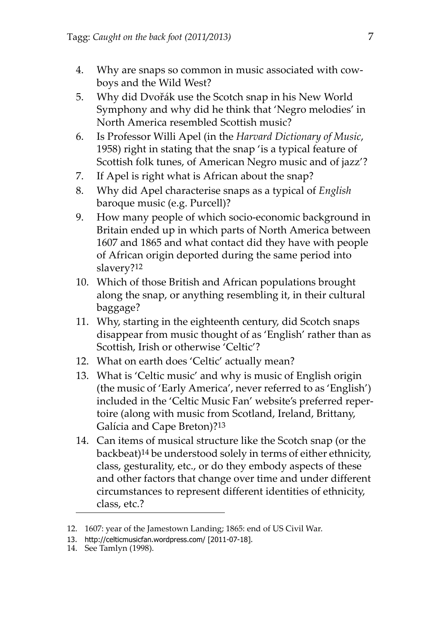- 4. Why are snaps so common in music associated with cow‐ boys and the Wild West?
- 5. Why did Dvořák use the Scotch snap in his New World Symphony and why did he think that 'Negro melodies' in North America resembled Scottish music?
- 6. Is Professor Willi Apel (in the *Harvard Dictionary of Music*, 1958) right in stating that the snap 'is a typical feature of Scottish folk tunes, of American Negro music and of jazz'?
- 7. If Apel is right what is African about the snap?
- 8. Why did Apel characterise snaps as a typical of *English* baroque music (e.g. Purcell)?
- 9. How many people of which socio-economic background in Britain ended up in which parts of North America between 1607 and 1865 and what contact did they have with people of African origin deported during the same period into slavery?12
- 10. Which of those British and African populations brought along the snap, or anything resembling it, in their cultural baggage?
- 11. Why, starting in the eighteenth century, did Scotch snaps disappear from music thought of as 'English' rather than as Scottish, Irish or otherwise 'Celtic'?
- 12. What on earth does 'Celtic' actually mean?
- 13. What is 'Celtic music' and why is music of English origin (the music of 'Early America', never referred to as 'English') included in the 'Celtic Music Fan' website's preferred reper‐ toire (along with music from Scotland, Ireland, Brittany, Galícia and Cape Breton)?13
- 14. Can items of musical structure like the Scotch snap (or the backbeat)14 be understood solely in terms of either ethnicity, class, gesturality, etc., or do they embody aspects of these and other factors that change over time and under different circumstances to represent different identities of ethnicity, class, etc.?

<sup>12. 1607:</sup> year of the Jamestown Landing; 1865: end of US Civil War.

<sup>13.</sup> http://celticmusicfan.wordpress.com/ [2011-07-18].

<sup>14.</sup> See Tamlyn (1998).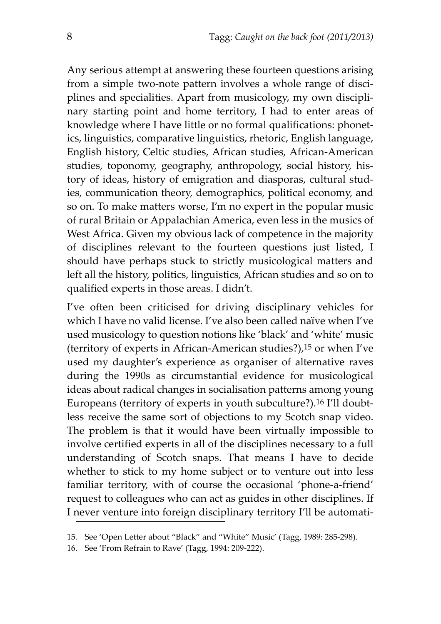Any serious attempt at answering these fourteen questions arising from a simple two-note pattern involves a whole range of disciplines and specialities. Apart from musicology, my own discipli‐ nary starting point and home territory, I had to enter areas of knowledge where I have little or no formal qualifications: phonetics, linguistics, comparative linguistics, rhetoric, English language, English history, Celtic studies, African studies, African‐American studies, toponomy, geography, anthropology, social history, his‐ tory of ideas, history of emigration and diasporas, cultural stud‐ ies, communication theory, demographics, political economy, and so on. To make matters worse, I'm no expert in the popular music of rural Britain or Appalachian America, even less in the musics of West Africa. Given my obvious lack of competence in the majority of disciplines relevant to the fourteen questions just listed, I should have perhaps stuck to strictly musicological matters and left all the history, politics, linguistics, African studies and so on to qualified experts in those areas. I didn't.

I've often been criticised for driving disciplinary vehicles for which I have no valid license. I've also been called naïve when I've used musicology to question notions like 'black' and 'white' music (territory of experts in African‐American studies?),15 or when I've used my daughter's experience as organiser of alternative raves during the 1990s as circumstantial evidence for musicological ideas about radical changes in socialisation patterns among young Europeans (territory of experts in youth subculture?).16 I'll doubt‐ less receive the same sort of objections to my Scotch snap video. The problem is that it would have been virtually impossible to involve certified experts in all of the disciplines necessary to a full understanding of Scotch snaps. That means I have to decide whether to stick to my home subject or to venture out into less familiar territory, with of course the occasional 'phone‐a‐friend' request to colleagues who can act as guides in other disciplines. If I never venture into foreign disciplinary territory I'll be automati‐

<sup>15.</sup> See 'Open Letter about "Black" and "White" Music' (Tagg, 1989: 285‐298).

<sup>16.</sup> See 'From Refrain to Rave' (Tagg, 1994: 209‐222).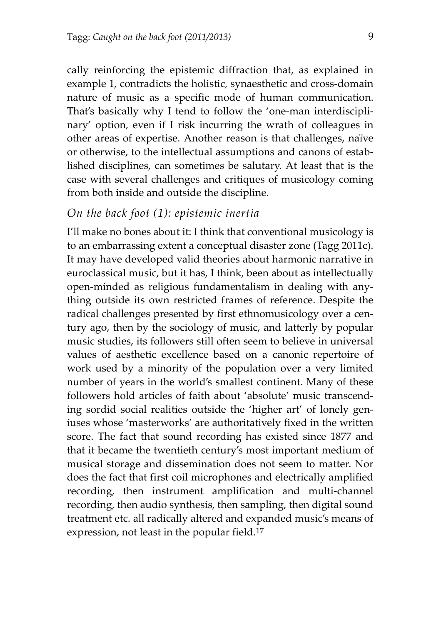cally reinforcing the epistemic diffraction that, as explained in example 1, contradicts the holistic, synaesthetic and cross-domain nature of music as a specific mode of human communication. That's basically why I tend to follow the 'one‐man interdiscipli‐ nary' option, even if I risk incurring the wrath of colleagues in other areas of expertise. Another reason is that challenges, naïve or otherwise, to the intellectual assumptions and canons of estab‐ lished disciplines, can sometimes be salutary. At least that is the case with several challenges and critiques of musicology coming from both inside and outside the discipline.

#### *On the back foot (1): epistemic inertia*

I'll make no bones about it: I think that conventional musicology is to an embarrassing extent a conceptual disaster zone (Tagg 2011c). It may have developed valid theories about harmonic narrative in euroclassical music, but it has, I think, been about as intellectually open‐minded as religious fundamentalism in dealing with any‐ thing outside its own restricted frames of reference. Despite the radical challenges presented by first ethnomusicology over a century ago, then by the sociology of music, and latterly by popular music studies, its followers still often seem to believe in universal values of aesthetic excellence based on a canonic repertoire of work used by a minority of the population over a very limited number of years in the world's smallest continent. Many of these followers hold articles of faith about 'absolute' music transcend‐ ing sordid social realities outside the 'higher art' of lonely geniuses whose 'masterworks' are authoritatively fixed in the written score. The fact that sound recording has existed since 1877 and that it became the twentieth century's most important medium of musical storage and dissemination does not seem to matter. Nor does the fact that first coil microphones and electrically amplified recording, then instrument amplification and multi‐channel recording, then audio synthesis, then sampling, then digital sound treatment etc. all radically altered and expanded music's means of expression, not least in the popular field.17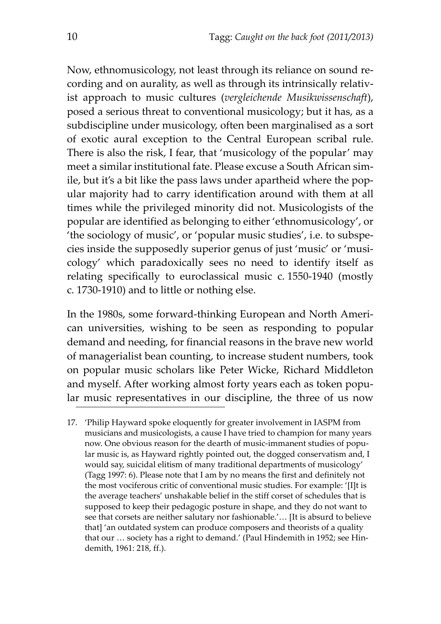Now, ethnomusicology, not least through its reliance on sound re‐ cording and on aurality, as well as through its intrinsically relativ‐ ist approach to music cultures (*vergleichende Musikwissenschaft*), posed a serious threat to conventional musicology; but it has, as a subdiscipline under musicology, often been marginalised as a sort of exotic aural exception to the Central European scribal rule. There is also the risk, I fear, that 'musicology of the popular' may meet a similar institutional fate. Please excuse a South African sim‐ ile, but it's a bit like the pass laws under apartheid where the popular majority had to carry identification around with them at all times while the privileged minority did not. Musicologists of the popular are identified as belonging to either 'ethnomusicology', or 'the sociology of music', or 'popular music studies', i.e. to subspe‐ cies inside the supposedly superior genus of just 'music' or 'musicology' which paradoxically sees no need to identify itself as relating specifically to euroclassical music c. 1550‐1940 (mostly c. 1730‐1910) and to little or nothing else.

In the 1980s, some forward‐thinking European and North Ameri‐ can universities, wishing to be seen as responding to popular demand and needing, for financial reasons in the brave new world of managerialist bean counting, to increase student numbers, took on popular music scholars like Peter Wicke, Richard Middleton and myself. After working almost forty years each as token popular music representatives in our discipline, the three of us now

<sup>17. &#</sup>x27;Philip Hayward spoke eloquently for greater involvement in IASPM from musicians and musicologists, a cause I have tried to champion for many years now. One obvious reason for the dearth of music-immanent studies of popular music is, as Hayward rightly pointed out, the dogged conservatism and, I would say, suicidal elitism of many traditional departments of musicology' (Tagg 1997: 6). Please note that I am by no means the first and definitely not the most vociferous critic of conventional music studies. For example: '[I]t is the average teachers' unshakable belief in the stiff corset of schedules that is supposed to keep their pedagogic posture in shape, and they do not want to see that corsets are neither salutary nor fashionable.'… [It is absurd to believe that] 'an outdated system can produce composers and theorists of a quality that our … society has a right to demand.' (Paul Hindemith in 1952; see Hin‐ demith, 1961: 218, ff.).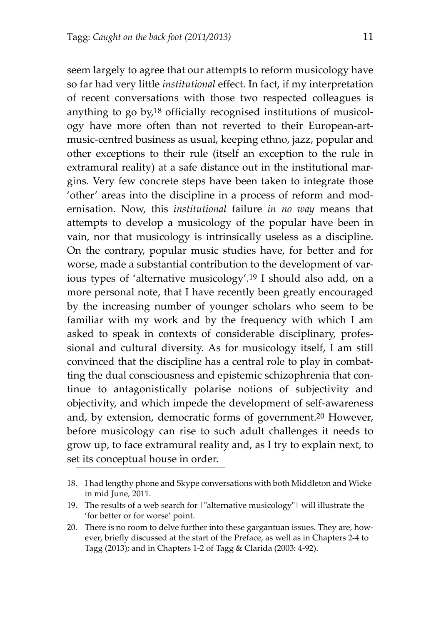seem largely to agree that our attempts to reform musicology have so far had very little *institutional* effect. In fact, if my interpretation of recent conversations with those two respected colleagues is anything to go by,18 officially recognised institutions of musicol‐ ogy have more often than not reverted to their European‐art‐ music‐centred business as usual, keeping ethno, jazz, popular and other exceptions to their rule (itself an exception to the rule in extramural reality) at a safe distance out in the institutional margins. Very few concrete steps have been taken to integrate those 'other' areas into the discipline in a process of reform and mod‐ ernisation. Now, this *institutional* failure *in no way* means that attempts to develop a musicology of the popular have been in vain, nor that musicology is intrinsically useless as a discipline. On the contrary, popular music studies have, for better and for worse, made a substantial contribution to the development of various types of 'alternative musicology'.19 I should also add, on a more personal note, that I have recently been greatly encouraged by the increasing number of younger scholars who seem to be familiar with my work and by the frequency with which I am asked to speak in contexts of considerable disciplinary, profes‐ sional and cultural diversity. As for musicology itself, I am still convinced that the discipline has a central role to play in combatting the dual consciousness and epistemic schizophrenia that continue to antagonistically polarise notions of subjectivity and objectivity, and which impede the development of self‐awareness and, by extension, democratic forms of government.20 However, before musicology can rise to such adult challenges it needs to grow up, to face extramural reality and, as I try to explain next, to set its conceptual house in order.

<sup>18.</sup> I had lengthy phone and Skype conversations with both Middleton and Wicke in mid June, 2011.

<sup>19.</sup> The results of a web search for *|*"alternative musicology" | will illustrate the 'for better or for worse' point.

<sup>20.</sup> There is no room to delve further into these gargantuan issues. They are, however, briefly discussed at the start of the Preface, as well as in Chapters 2‐4 to Tagg (2013); and in Chapters 1‐2 of Tagg & Clarida (2003: 4‐92).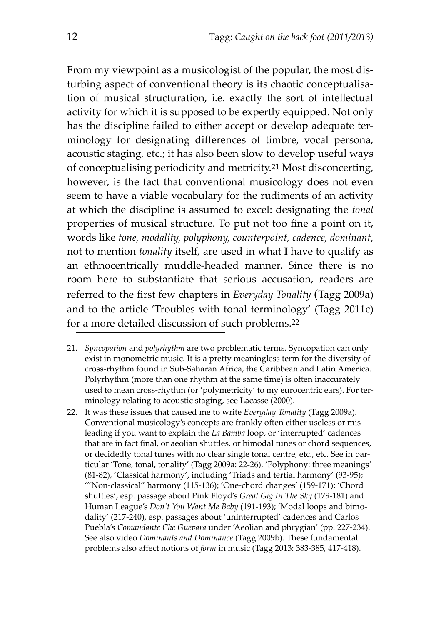From my viewpoint as a musicologist of the popular, the most dis‐ turbing aspect of conventional theory is its chaotic conceptualisation of musical structuration, i.e. exactly the sort of intellectual activity for which it is supposed to be expertly equipped. Not only has the discipline failed to either accept or develop adequate terminology for designating differences of timbre, vocal persona, acoustic staging, etc.; it has also been slow to develop useful ways of conceptualising periodicity and metricity.21 Most disconcerting, however, is the fact that conventional musicology does not even seem to have a viable vocabulary for the rudiments of an activity at which the discipline is assumed to excel: designating the *tonal* properties of musical structure. To put not too fine a point on it, words like *tone, modality, polyphony, counterpoint, cadence, dominant*, not to mention *tonality* itself, are used in what I have to qualify as an ethnocentrically muddle‐headed manner. Since there is no room here to substantiate that serious accusation, readers are referred to the first few chapters in *Everyday Tonality* (Tagg 2009a) and to the article 'Troubles with tonal terminology' (Tagg 2011c) for a more detailed discussion of such problems.22

- 21. *Syncopation* and *polyrhythm* are two problematic terms. Syncopation can only exist in monometric music. It is a pretty meaningless term for the diversity of cross‐rhythm found in Sub‐Saharan Africa, the Caribbean and Latin America. Polyrhythm (more than one rhythm at the same time) is often inaccurately used to mean cross-rhythm (or 'polymetricity' to my eurocentric ears). For terminology relating to acoustic staging, see Lacasse (2000).
- 22. It was these issues that caused me to write *Everyday Tonality* (Tagg 2009a). Conventional musicology's concepts are frankly often either useless or mis‐ leading if you want to explain the *La Bamba* loop, or 'interrupted' cadences that are in fact final, or aeolian shuttles, or bimodal tunes or chord sequences, or decidedly tonal tunes with no clear single tonal centre, etc., etc. See in par‐ ticular 'Tone, tonal, tonality' (Tagg 2009a: 22‐26), 'Polyphony: three meanings' (81‐82), 'Classical harmony', including 'Triads and tertial harmony' (93‐95); '"Non‐classical" harmony (115‐136); 'One‐chord changes' (159‐171); 'Chord shuttles', esp. passage about Pink Floyd's *Great Gig In The Sky* (179‐181) and Human League's *Don't You Want Me Baby* (191‐193); 'Modal loops and bimo‐ dality' (217‐240), esp. passages about 'uninterrupted' cadences and Carlos Puebla's *Comandante Che Guevara* under 'Aeolian and phrygian' (pp. 227‐234). See also video *Dominants and Dominance* (Tagg 2009b). These fundamental problems also affect notions of *form* in music (Tagg 2013: 383‐385, 417‐418).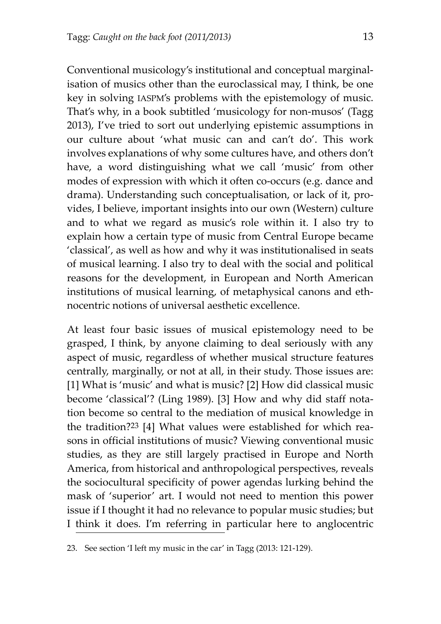Conventional musicology's institutional and conceptual marginal‐ isation of musics other than the euroclassical may, I think, be one key in solving IASPM's problems with the epistemology of music. That's why, in a book subtitled 'musicology for non‐musos' (Tagg 2013), I've tried to sort out underlying epistemic assumptions in our culture about 'what music can and can't do'. This work involves explanations of why some cultures have, and others don't have, a word distinguishing what we call 'music' from other modes of expression with which it often co-occurs (e.g. dance and drama). Understanding such conceptualisation, or lack of it, provides, I believe, important insights into our own (Western) culture and to what we regard as music's role within it. I also try to explain how a certain type of music from Central Europe became 'classical', as well as how and why it was institutionalised in seats of musical learning. I also try to deal with the social and political reasons for the development, in European and North American institutions of musical learning, of metaphysical canons and ethnocentric notions of universal aesthetic excellence.

At least four basic issues of musical epistemology need to be grasped, I think, by anyone claiming to deal seriously with any aspect of music, regardless of whether musical structure features centrally, marginally, or not at all, in their study. Those issues are: [1] What is 'music' and what is music? [2] How did classical music become 'classical'? (Ling 1989). [3] How and why did staff nota‐ tion become so central to the mediation of musical knowledge in the tradition?<sup>23</sup> [4] What values were established for which reasons in official institutions of music? Viewing conventional music studies, as they are still largely practised in Europe and North America, from historical and anthropological perspectives, reveals the sociocultural specificity of power agendas lurking behind the mask of 'superior' art. I would not need to mention this power issue if I thought it had no relevance to popular music studies; but I think it does. I'm referring in particular here to anglocentric

<sup>23.</sup> See section 'I left my music in the car' in Tagg (2013: 121‐129).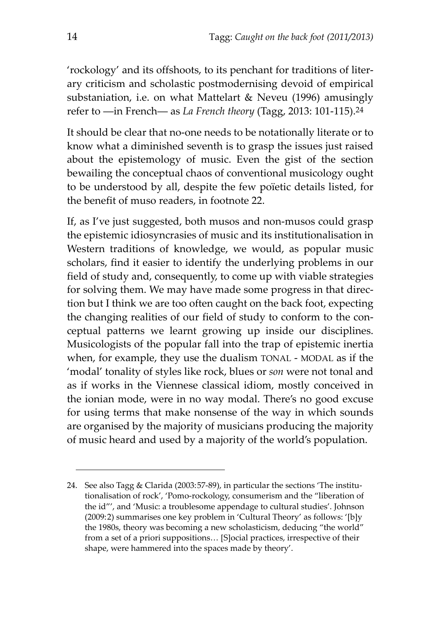'rockology' and its offshoots, to its penchant for traditions of liter‐ ary criticism and scholastic postmodernising devoid of empirical substaniation, i.e. on what Mattelart & Neveu (1996) amusingly refer to ―in French― as *La French theory* (Tagg, 2013: 101‐115).24

It should be clear that no‐one needs to be notationally literate or to know what a diminished seventh is to grasp the issues just raised about the epistemology of music. Even the gist of the section bewailing the conceptual chaos of conventional musicology ought to be understood by all, despite the few poïetic details listed, for the benefit of muso readers, in footnote 22.

If, as I've just suggested, both musos and non‐musos could grasp the epistemic idiosyncrasies of music and its institutionalisation in Western traditions of knowledge, we would, as popular music scholars, find it easier to identify the underlying problems in our field of study and, consequently, to come up with viable strategies for solving them. We may have made some progress in that direction but I think we are too often caught on the back foot, expecting the changing realities of our field of study to conform to the conceptual patterns we learnt growing up inside our disciplines. Musicologists of the popular fall into the trap of epistemic inertia when, for example, they use the dualism TONAL ‐ MODAL as if the 'modal' tonality of styles like rock, blues or *son* were not tonal and as if works in the Viennese classical idiom, mostly conceived in the ionian mode, were in no way modal. There's no good excuse for using terms that make nonsense of the way in which sounds are organised by the majority of musicians producing the majority of music heard and used by a majority of the world's population.

<sup>24.</sup> See also Tagg & Clarida (2003:57-89), in particular the sections 'The institutionalisation of rock', 'Pomo‐rockology, consumerism and the "liberation of the id"', and 'Music: a troublesome appendage to cultural studies'. Johnson (2009:2) summarises one key problem in 'Cultural Theory' as follows: '[b]y the 1980s, theory was becoming a new scholasticism, deducing "the world" from a set of a priori suppositions… [S]ocial practices, irrespective of their shape, were hammered into the spaces made by theory'.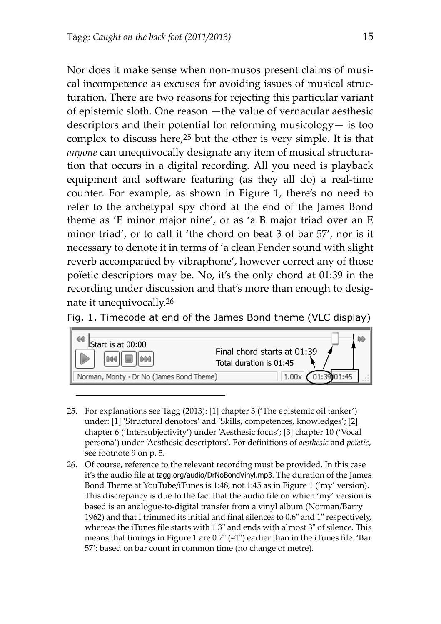Nor does it make sense when non‐musos present claims of musi‐ cal incompetence as excuses for avoiding issues of musical structuration. There are two reasons for rejecting this particular variant of epistemic sloth. One reason —the value of vernacular aesthesic descriptors and their potential for reforming musicology— is too complex to discuss here,25 but the other is very simple. It is that anyone can unequivocally designate any item of musical structuration that occurs in a digital recording. All you need is playback equipment and software featuring (as they all do) a real‐time counter. For example, as shown in Figure 1, there's no need to refer to the archetypal spy chord at the end of the James Bond theme as 'E minor major nine', or as 'a B major triad over an E minor triad', or to call it 'the chord on beat 3 of bar 57', nor is it necessary to denote it in terms of 'a clean Fender sound with slight reverb accompanied by vibraphone', however correct any of those poïetic descriptors may be. No, it's the only chord at 01:39 in the recording under discussion and that's more than enough to designate it unequivocally.26

Fig. 1. Timecode at end of the James Bond theme (VLC display)



- 25. For explanations see Tagg (2013): [1] chapter 3 ('The epistemic oil tanker') under: [1] 'Structural denotors' and 'Skills, competences, knowledges'; [2] chapter 6 ('Intersubjectivity') under 'Aesthesic focus'; [3] chapter 10 ('Vocal persona') under 'Aesthesic descriptors'. For definitions of *aesthesic* and *poïetic*, see footnote 9 on p. 5.
- 26. Of course, reference to the relevant recording must be provided. In this case it's the audio file at tagg.org/audio/DrNoBondVinyl.mp3. The duration of the James Bond Theme at YouTube/iTunes is 1:48, not 1:45 as in Figure 1 ('my' version). This discrepancy is due to the fact that the audio file on which 'my' version is based is an analogue‐to‐digital transfer from a vinyl album (Norman/Barry 1962) and that I trimmed its initial and final silences to  $0.6"$  and  $1"$  respectively. whereas the iTunes file starts with 1.3" and ends with almost 3" of silence. This means that timings in Figure 1 are  $0.7^\circ$  ( $\approx$ 1") earlier than in the iTunes file. 'Bar 57': based on bar count in common time (no change of metre).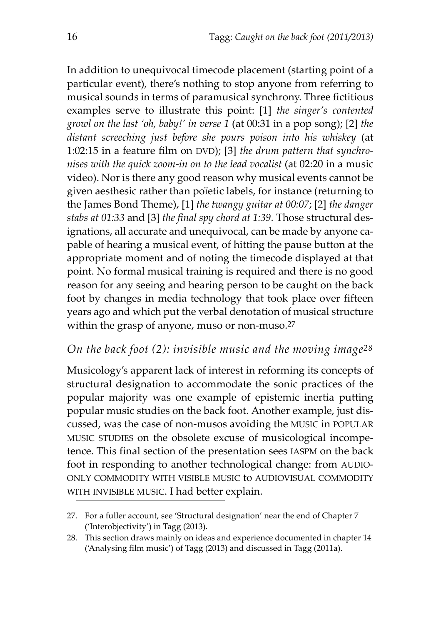In addition to unequivocal timecode placement (starting point of a particular event), there's nothing to stop anyone from referring to musical sounds in terms of paramusical synchrony. Three fictitious examples serve to illustrate this point: [1] *the singer's contented growl on the last 'oh, baby!' in verse 1* (at 00:31 in a pop song); [2] *the distant screeching just before she pours poison into his whiskey* (at 1:02:15 in a feature film on DVD); [3] *the drum pattern that synchro‐ nises with the quick zoom‐in on to the lead vocalist* (at 02:20 in a music video). Nor is there any good reason why musical events cannot be given aesthesic rather than poïetic labels, for instance (returning to the James Bond Theme), [1] *the twangy guitar at 00:07*; [2] *the danger stabs at 01:33* and [3] *the final spy chord at 1:39.* Those structural des‐ ignations, all accurate and unequivocal, can be made by anyone capable of hearing a musical event, of hitting the pause button at the appropriate moment and of noting the timecode displayed at that point. No formal musical training is required and there is no good reason for any seeing and hearing person to be caught on the back foot by changes in media technology that took place over fifteen years ago and which put the verbal denotation of musical structure within the grasp of anyone, muso or non-muso.<sup>27</sup>

### *On the back foot (2): invisible music and the moving image28*

Musicology's apparent lack of interest in reforming its concepts of structural designation to accommodate the sonic practices of the popular majority was one example of epistemic inertia putting popular music studies on the back foot. Another example, just dis‐ cussed, was the case of non‐musos avoiding the MUSIC in POPULAR MUSIC STUDIES on the obsolete excuse of musicological incompe‐ tence. This final section of the presentation sees IASPM on the back foot in responding to another technological change: from AUDIO‐ ONLY COMMODITY WITH VISIBLE MUSIC to AUDIOVISUAL COMMODITY WITH INVISIBLE MUSIC. I had better explain.

<sup>27.</sup> For a fuller account, see 'Structural designation' near the end of Chapter 7 ('Interobjectivity') in Tagg (2013).

<sup>28.</sup> This section draws mainly on ideas and experience documented in chapter 14 ('Analysing film music') of Tagg (2013) and discussed in Tagg (2011a).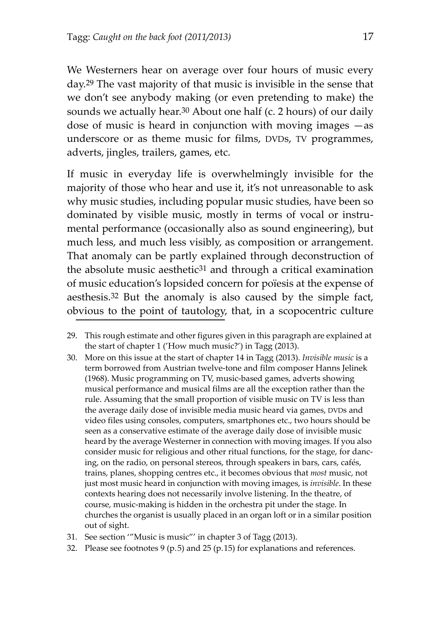We Westerners hear on average over four hours of music every day.29 The vast majority of that music is invisible in the sense that we don't see anybody making (or even pretending to make) the sounds we actually hear.<sup>30</sup> About one half (c. 2 hours) of our daily dose of music is heard in conjunction with moving images  $-$ as underscore or as theme music for films, DVDs, TV programmes, adverts, jingles, trailers, games, etc.

If music in everyday life is overwhelmingly invisible for the majority of those who hear and use it, it's not unreasonable to ask why music studies, including popular music studies, have been so dominated by visible music, mostly in terms of vocal or instrumental performance (occasionally also as sound engineering), but much less, and much less visibly, as composition or arrangement. That anomaly can be partly explained through deconstruction of the absolute music aesthetic<sup>31</sup> and through a critical examination of music education's lopsided concern for poïesis at the expense of aesthesis.32 But the anomaly is also caused by the simple fact, obvious to the point of tautology, that, in a scopocentric culture

- 30. More on this issue at the start of chapter 14 in Tagg (2013). *Invisible music* is a term borrowed from Austrian twelve‐tone and film composer Hanns Jelinek (1968). Music programming on TV, music‐based games, adverts showing musical performance and musical films are all the exception rather than the rule. Assuming that the small proportion of visible music on TV is less than the average daily dose of invisible media music heard via games, DVDs and video files using consoles, computers, smartphones etc., two hours should be seen as a conservative estimate of the average daily dose of invisible music heard by the average Westerner in connection with moving images. If you also consider music for religious and other ritual functions, for the stage, for danc‐ ing, on the radio, on personal stereos, through speakers in bars, cars, cafés, trains, planes, shopping centres etc., it becomes obvious that *most* music, not just most music heard in conjunction with moving images, is *invisible*. In these contexts hearing does not necessarily involve listening. In the theatre, of course, music‐making is hidden in the orchestra pit under the stage. In churches the organist is usually placed in an organ loft or in a similar position out of sight.
- 31. See section '"Music is music"' in chapter 3 of Tagg (2013).
- 32. Please see footnotes 9 (p.5) and 25 (p.15) for explanations and references.

<sup>29.</sup> This rough estimate and other figures given in this paragraph are explained at the start of chapter 1 ('How much music?') in Tagg (2013).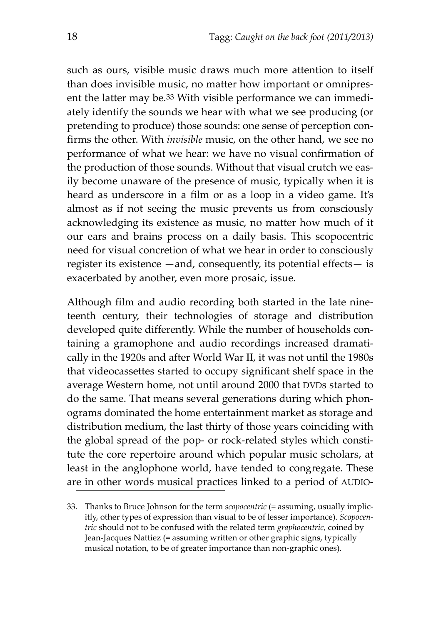such as ours, visible music draws much more attention to itself than does invisible music, no matter how important or omnipresent the latter may be.<sup>33</sup> With visible performance we can immediately identify the sounds we hear with what we see producing (or pretending to produce) those sounds: one sense of perception confirms the other. With *invisible* music, on the other hand, we see no performance of what we hear: we have no visual confirmation of the production of those sounds. Without that visual crutch we easily become unaware of the presence of music, typically when it is heard as underscore in a film or as a loop in a video game. It's almost as if not seeing the music prevents us from consciously acknowledging its existence as music, no matter how much of it our ears and brains process on a daily basis. This scopocentric need for visual concretion of what we hear in order to consciously register its existence —and, consequently, its potential effects— is exacerbated by another, even more prosaic, issue.

Although film and audio recording both started in the late nine‐ teenth century, their technologies of storage and distribution developed quite differently. While the number of households containing a gramophone and audio recordings increased dramatically in the 1920s and after World War II, it was not until the 1980s that videocassettes started to occupy significant shelf space in the average Western home, not until around 2000 that DVDs started to do the same. That means several generations during which phon‐ ograms dominated the home entertainment market as storage and distribution medium, the last thirty of those years coinciding with the global spread of the pop- or rock-related styles which constitute the core repertoire around which popular music scholars, at least in the anglophone world, have tended to congregate. These are in other words musical practices linked to a period of AUDIO‐

<sup>33.</sup> Thanks to Bruce Johnson for the term *scopocentric* (= assuming, usually implic‐ itly, other types of expression than visual to be of lesser importance). *Scopocen‐ tric* should not to be confused with the related term *graphocentric*, coined by Jean‐Jacques Nattiez (= assuming written or other graphic signs, typically musical notation, to be of greater importance than non‐graphic ones).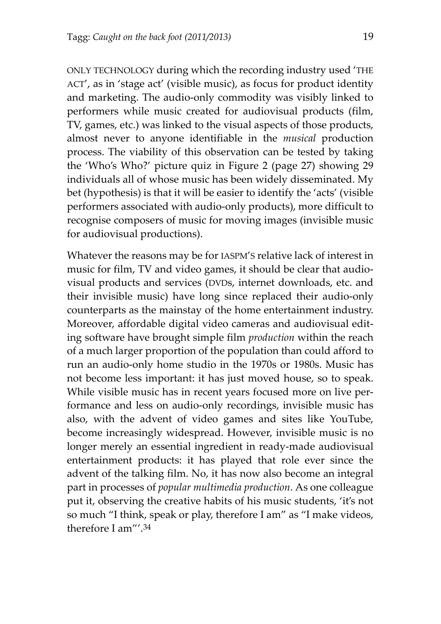ONLY TECHNOLOGY during which the recording industry used 'THE ACT', as in 'stage act' (visible music), as focus for product identity and marketing. The audio‐only commodity was visibly linked to performers while music created for audiovisual products (film, TV, games, etc.) was linked to the visual aspects of those products, almost never to anyone identifiable in the *musical* production process. The viability of this observation can be tested by taking the 'Who's Who?' picture quiz in Figure [2](#page-26-0) (page [27\)](#page-26-0) showing 29 individuals all of whose music has been widely disseminated. My bet (hypothesis) is that it will be easier to identify the 'acts' (visible performers associated with audio‐only products), more difficult to recognise composers of music for moving images (invisible music for audiovisual productions).

Whatever the reasons may be for IASPM'S relative lack of interest in music for film, TV and video games, it should be clear that audio‐ visual products and services (DVDs, internet downloads, etc. and their invisible music) have long since replaced their audio‐only counterparts as the mainstay of the home entertainment industry. Moreover, affordable digital video cameras and audiovisual edit‐ ing software have brought simple film *production* within the reach of a much larger proportion of the population than could afford to run an audio‐only home studio in the 1970s or 1980s. Music has not become less important: it has just moved house, so to speak. While visible music has in recent years focused more on live performance and less on audio‐only recordings, invisible music has also, with the advent of video games and sites like YouTube, become increasingly widespread. However, invisible music is no longer merely an essential ingredient in ready‐made audiovisual entertainment products: it has played that role ever since the advent of the talking film. No, it has now also become an integral part in processes of *popular multimedia production*. As one colleague put it, observing the creative habits of his music students, 'it's not so much "I think, speak or play, therefore I am" as "I make videos, therefore I am"' 34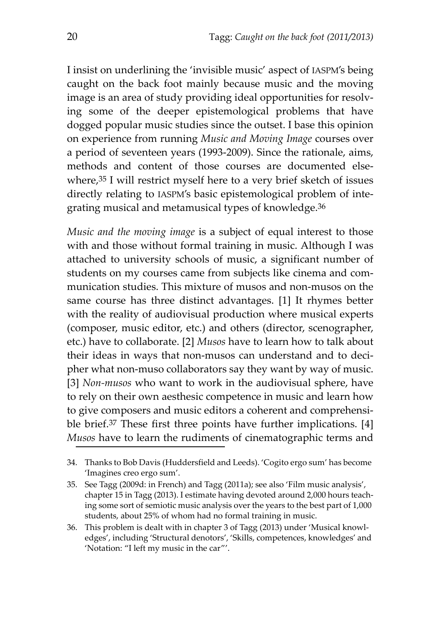I insist on underlining the 'invisible music' aspect of IASPM's being caught on the back foot mainly because music and the moving image is an area of study providing ideal opportunities for resolving some of the deeper epistemological problems that have dogged popular music studies since the outset. I base this opinion on experience from running *Music and Moving Image* courses over a period of seventeen years (1993‐2009). Since the rationale, aims, methods and content of those courses are documented elsewhere,35 I will restrict myself here to a very brief sketch of issues directly relating to IASPM's basic epistemological problem of inte‐ grating musical and metamusical types of knowledge.36

*Music and the moving image* is a subject of equal interest to those with and those without formal training in music. Although I was attached to university schools of music, a significant number of students on my courses came from subjects like cinema and communication studies. This mixture of musos and non‐musos on the same course has three distinct advantages. [1] It rhymes better with the reality of audiovisual production where musical experts (composer, music editor, etc.) and others (director, scenographer, etc.) have to collaborate. [2] *Musos* have to learn how to talk about their ideas in ways that non-musos can understand and to decipher what non-muso collaborators say they want by way of music. [3] *Non-musos* who want to work in the audiovisual sphere, have to rely on their own aesthesic competence in music and learn how to give composers and music editors a coherent and comprehensible brief.37 These first three points have further implications. [4] *Musos* have to learn the rudiments of cinematographic terms and

<sup>34.</sup> Thanks to Bob Davis (Huddersfield and Leeds). 'Cogito ergo sum' has become 'Imagines creo ergo sum'.

<sup>35.</sup> See Tagg (2009d: in French) and Tagg (2011a); see also 'Film music analysis', chapter 15 in Tagg (2013). I estimate having devoted around 2,000 hours teach‐ ing some sort of semiotic music analysis over the years to the best part of 1,000 students, about 25% of whom had no formal training in music.

<sup>36.</sup> This problem is dealt with in chapter 3 of Tagg (2013) under 'Musical knowl‐ edges', including 'Structural denotors', 'Skills, competences, knowledges' and 'Notation: "I left my music in the car"'.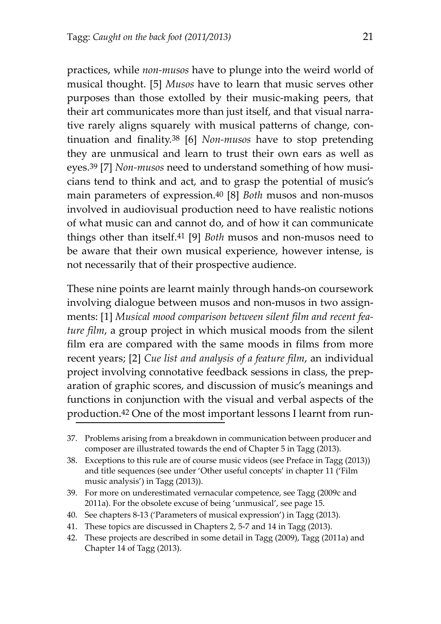practices, while *non‐musos* have to plunge into the weird world of musical thought. [5] *Musos* have to learn that music serves other purposes than those extolled by their music‐making peers, that their art communicates more than just itself, and that visual narrative rarely aligns squarely with musical patterns of change, continuation and finality.38 [6] *Non‐musos* have to stop pretending they are unmusical and learn to trust their own ears as well as eyes.<sup>39</sup> [7] *Non-musos* need to understand something of how musicians tend to think and act, and to grasp the potential of music's main parameters of expression.40 [8] *Both* musos and non‐musos involved in audiovisual production need to have realistic notions of what music can and cannot do, and of how it can communicate things other than itself.41 [9] *Both* musos and non‐musos need to be aware that their own musical experience, however intense, is not necessarily that of their prospective audience.

These nine points are learnt mainly through hands‐on coursework involving dialogue between musos and non-musos in two assignments: [1] *Musical mood comparison between silent film and recent fea‐ ture film*, a group project in which musical moods from the silent film era are compared with the same moods in films from more recent years; [2] *Cue list and analysis of a feature film*, an individual project involving connotative feedback sessions in class, the prep‐ aration of graphic scores, and discussion of music's meanings and functions in conjunction with the visual and verbal aspects of the production.<sup>42</sup> One of the most important lessons I learnt from run-

- 40. See chapters 8‐13 ('Parameters of musical expression') in Tagg (2013).
- 41. These topics are discussed in Chapters 2, 5‐7 and 14 in Tagg (2013).
- 42. These projects are described in some detail in Tagg (2009), Tagg (2011a) and Chapter 14 of Tagg (2013).

<sup>37.</sup> Problems arising from a breakdown in communication between producer and composer are illustrated towards the end of Chapter 5 in Tagg (2013).

<sup>38.</sup> Exceptions to this rule are of course music videos (see Preface in Tagg (2013)) and title sequences (see under 'Other useful concepts' in chapter 11 ('Film music analysis') in Tagg (2013)).

<sup>39.</sup> For more on underestimated vernacular competence, see Tagg (2009c and 2011a). For the obsolete excuse of being 'unmusical', see page 15.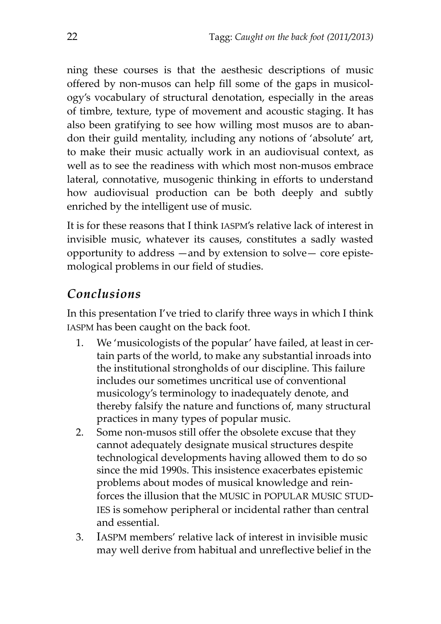ning these courses is that the aesthesic descriptions of music offered by non‐musos can help fill some of the gaps in musicol‐ ogy's vocabulary of structural denotation, especially in the areas of timbre, texture, type of movement and acoustic staging. It has also been gratifying to see how willing most musos are to aban‐ don their guild mentality, including any notions of 'absolute' art, to make their music actually work in an audiovisual context, as well as to see the readiness with which most non-musos embrace lateral, connotative, musogenic thinking in efforts to understand how audiovisual production can be both deeply and subtly enriched by the intelligent use of music.

It is for these reasons that I think IASPM's relative lack of interest in invisible music, whatever its causes, constitutes a sadly wasted opportunity to address —and by extension to solve— core episte‐ mological problems in our field of studies.

# *Conclusions*

In this presentation I've tried to clarify three ways in which I think IASPM has been caught on the back foot.

- 1. We 'musicologists of the popular' have failed, at least in cer‐ tain parts of the world, to make any substantial inroads into the institutional strongholds of our discipline. This failure includes our sometimes uncritical use of conventional musicology's terminology to inadequately denote, and thereby falsify the nature and functions of, many structural practices in many types of popular music.
- 2. Some non‐musos still offer the obsolete excuse that they cannot adequately designate musical structures despite technological developments having allowed them to do so since the mid 1990s. This insistence exacerbates epistemic problems about modes of musical knowledge and rein‐ forces the illusion that the MUSIC in POPULAR MUSIC STUD‐ IES is somehow peripheral or incidental rather than central and essential.
- 3. IASPM members' relative lack of interest in invisible music may well derive from habitual and unreflective belief in the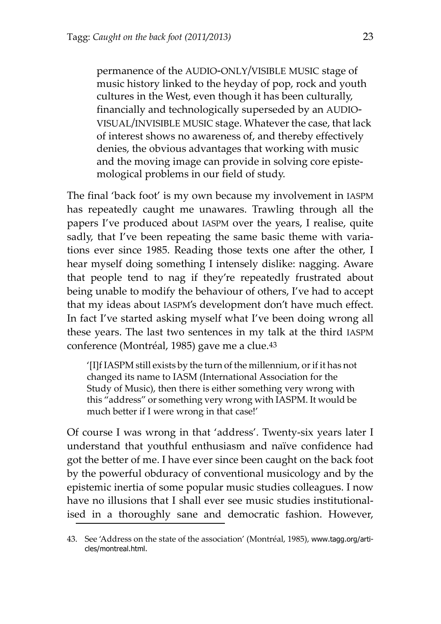permanence of the AUDIO‐ONLY/VISIBLE MUSIC stage of music history linked to the heyday of pop, rock and youth cultures in the West, even though it has been culturally, financially and technologically superseded by an AUDIO‐ VISUAL/INVISIBLE MUSIC stage. Whatever the case, that lack of interest shows no awareness of, and thereby effectively denies, the obvious advantages that working with music and the moving image can provide in solving core episte‐ mological problems in our field of study.

The final 'back foot' is my own because my involvement in IASPM has repeatedly caught me unawares. Trawling through all the papers I've produced about IASPM over the years, I realise, quite sadly, that I've been repeating the same basic theme with variations ever since 1985. Reading those texts one after the other, I hear myself doing something I intensely dislike: nagging. Aware that people tend to nag if they're repeatedly frustrated about being unable to modify the behaviour of others, I've had to accept that my ideas about IASPM's development don't have much effect. In fact I've started asking myself what I've been doing wrong all these years. The last two sentences in my talk at the third IASPM conference (Montréal, 1985) gave me a clue.43

'[I]f IASPM still exists by the turn of the millennium, orif it has not changed its name to IASM (International Association for the Study of Music), then there is either something very wrong with this "address" or something very wrong with IASPM. It would be much better if I were wrong in that case!'

Of course I was wrong in that 'address'. Twenty‐six years later I understand that youthful enthusiasm and naïve confidence had got the better of me. I have ever since been caught on the back foot by the powerful obduracy of conventional musicology and by the epistemic inertia of some popular music studies colleagues. I now have no illusions that I shall ever see music studies institutionalised in a thoroughly sane and democratic fashion. However,

<sup>43.</sup> See 'Address on the state of the association' (Montréal, 1985), www.tagg.org/articles/montreal.html.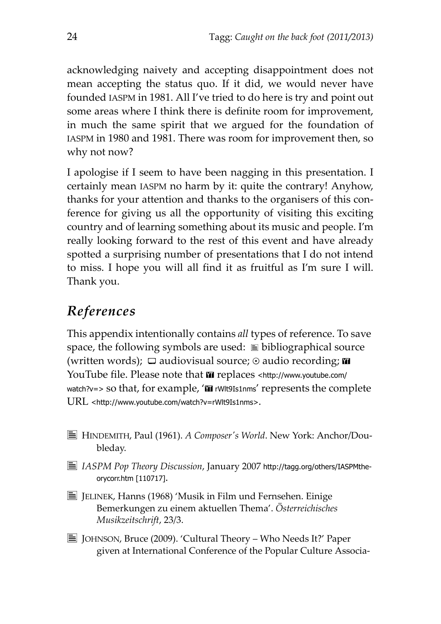acknowledging naivety and accepting disappointment does not mean accepting the status quo. If it did, we would never have founded IASPM in 1981. All I've tried to do here is try and point out some areas where I think there is definite room for improvement, in much the same spirit that we argued for the foundation of IASPM in 1980 and 1981. There was room for improvement then, so why not now?

I apologise if I seem to have been nagging in this presentation. I certainly mean IASPM no harm by it: quite the contrary! Anyhow, thanks for your attention and thanks to the organisers of this con‐ ference for giving us all the opportunity of visiting this exciting country and of learning something about its music and people. I'm really looking forward to the rest of this event and have already spotted a surprising number of presentations that I do not intend to miss. I hope you will all find it as fruitful as I'm sure I will. Thank you.

# *References*

This appendix intentionally contains *all* types of reference. To save space, the following symbols are used:  $\equiv$  bibliographical source (written words);  $\Box$  audiovisual source;  $\odot$  audio recording;  $\blacksquare$ YouTube file. Please note that  $\overline{m}$  replaces <http://www.youtube.com/ watch?v=> so that, for example, 'T rWlt9Is1nms' represents the complete URL <http://www.youtube.com/watch?v=rWlt9Is1nms>.

- b HINDEMITH, Paul (1961). *A Composerʹs World*. New York: Anchor/Dou‐ bleday.
- b *IASPM Pop Theory Discussion*, January 2007 http://tagg.org/others/IASPMtheorycorr.htm [110717].
- $\equiv$  JELINEK, Hanns (1968) 'Musik in Film und Fernsehen. Einige Bemerkungen zu einem aktuellen Thema'. *Österreichisches Musikzeitschrift*, 23/3.
- $\equiv$  JOHNSON, Bruce (2009). 'Cultural Theory Who Needs It?' Paper given at International Conference of the Popular Culture Associa‐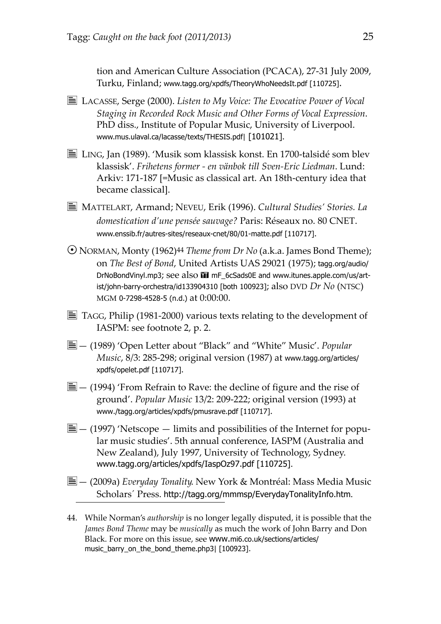tion and American Culture Association (PCACA), 27‐31 July 2009, Turku, Finland; www.tagg.org/xpdfs/TheoryWhoNeedsIt.pdf [110725].

- b LACASSE, Serge (2000). *Listen to My Voice: The Evocative Power of Vocal Staging in Recorded Rock Music and Other Forms of Vocal Expression*. PhD diss., Institute of Popular Music, University of Liverpool. www.mus.ulaval.ca/lacasse/texts/THESIS.pdf| [101021].
- $\equiv$  LING, Jan (1989). 'Musik som klassisk konst. En 1700-talsidé som blev klassisk'. *Frihetens former ‐ en vänbok till Sven‐Eric Liedman*. Lund: Arkiv: 171‐187 [=Music as classical art. An 18th‐century idea that became classical].
- b MATTELART, Armand; NEVEU, Erik (1996). *Cultural Studies' Stories. La domestication d'une pensée sauvage?* Paris: Réseaux no. 80 CNET. www.enssib.fr/autres-sites/reseaux-cnet/80/01-matte.pdf [110717].
- NORMAN, Monty (1962)44 *Theme from Dr No* (a.k.a. James Bond Theme); on *The Best of Bond*, United Artists UAS 29021 (1975); tagg.org/audio/ DrNoBondVinyl.mp3; see also **III** mF\_6cSads0E and www.itunes.apple.com/us/artist/john-barry-orchestra/id133904310 [both 100923]; also DVD *Dr No* (NTSC) MGM 0-7298-4528-5 (n.d.) at 0:00:00.
- $\equiv$  TAGG, Philip (1981-2000) various texts relating to the development of IASPM: see footnote 2, p. 2.
- b— (1989) 'Open Letter about "Black" and "White" Music'. *Popular Music*, 8/3: 285‐298; original version (1987) at www.tagg.org/articles/ xpdfs/opelet.pdf [110717].
- $\Xi$  (1994) 'From Refrain to Rave: the decline of figure and the rise of ground'. *Popular Music* 13/2: 209‐222; original version (1993) at www./tagg.org/articles/xpdfs/pmusrave.pdf [110717].
- $\Xi$  (1997) 'Netscope limits and possibilities of the Internet for popular music studies'. 5th annual conference, IASPM (Australia and New Zealand), July 1997, University of Technology, Sydney. www.tagg.org/articles/xpdfs/IaspOz97.pdf [110725].
- b— (2009a) *Everyday Tonality*. New York & Montréal: Mass Media Music Scholars´ Press. http://tagg.org/mmmsp/EverydayTonalityInfo.htm.
- 44. While Norman's *authorship* is no longer legally disputed, it is possible that the *James Bond Theme* may be *musically* as much the work of John Barry and Don Black. For more on this issue, see www.mi6.co.uk/sections/articles/ music\_barry\_on\_the\_bond\_theme.php3| [100923].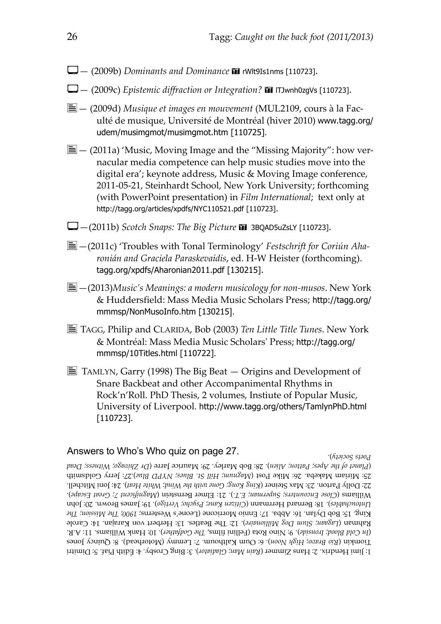- $\Box$  (2009b) *Dominants and Dominance* **II** rWlt9Is1nms [110723].
- V— (2009c) *Epistemic diffraction or Integration?* ' lTJwnh0zgVs [110723].
- b— (2009d) *Musique et images en mouvement* (MUL2109, cours à la Fac‐ ulté de musique, Université de Montréal (hiver 2010) www.tagg.org/ udem/musimgmot/musimgmot.htm [110725].
- $\Xi$  (2011a) 'Music, Moving Image and the "Missing Majority": how vernacular media competence can help music studies move into the digital era'; keynote address, Music & Moving Image conference, 2011‐05‐21, Steinhardt School, New York University; forthcoming (with PowerPoint presentation) in *Film International*; text only at http://tagg.org/articles/xpdfs/NYC110521.pdf [110723].
- $\Box$  -(2011b) *Scotch Snaps: The Big Picture*  $\blacksquare$  3BQAD5uZsLY [110723].
- b—(2011c) 'Troubles with Tonal Terminology' *Festschrift for Coriún Aha‐ ronián and Graciela Paraskevaídis*, ed. H‐W Heister [\(forthcoming\).](http://www.tagg.org/xpdfs/Aharonian2011.pdf) tagg.org/xpdfs/Aharonian2011.pdf [130215].
- b—(2013)*Music's Meanings: a modern musicology for non‐musos*. New York & Huddersfield: Mass Media Music Scholars Press; http://tagg.org/ mmmsp/NonMusoInfo.htm [130215].
- b TAGG, Philip and CLARIDA, Bob (2003) *Ten Little Title Tunes*. New York & Montréal: Mass Media Music Scholarsʹ Press; http://tagg.org/ mmmsp/10Titles.html [110722].
- $\equiv$  TAMLYN, Garry (1998) The Big Beat  $-$  Origins and Development of Snare Backbeat and other Accompanimental Rhythms in Rock'n'Roll. PhD Thesis, 2 volumes, Instiute of Popular Music, University of Liverpool. http://www.tagg.org/others/TamlynPhD.html [110723].

#### Answers to Who's Who quiz on page [27](#page-26-0).

<span id="page-25-0"></span>). *Society Poets*

Dimitri 5: Piaf. Édith 4: Crosby. Bing 3: ). *Gladiator Man; Rain* ( Zimmer Hans 2: Hendrix. Jimi 1: Jones Quincy 8: (Motorhead). Lemmy 7: Kalthoum. Oum 6: ). *Noon High* ; *Bravo Rio* ( Tiomkin A.R. 11: Williams. Hank 10: ). *Godfather The* films, (Fellini Rota Nino 9: ). *Ironside Blood; Cold In*( Kahman (Lagaan; Slum Dog Millionaire). 12: 1he Beatles. 13: Herbert von Karajan. 14: Carole *Therefore*; **There** *Therefore* **The** *The Mission;* Inc. The *Nesterns*; (*The Mesterns*; *The Mission;* Inc. The *Nesterns*; inc. John 20: Brown. James 19: ). *Vertigo Psycho; Kane; Citizen* ( Herrmann Bernard 18: ). *Untouchables* ). *Escape Great 7; Magnificent* ( Bernstein Elmer 21: ). *E.T. Superman; Encounters; Close* ( Williams Mitchell. Joni 24: ). *Heat White Wind; the with Gone Kong; King* ( Steiner Max 23: Parton. Dolly 22: Goldsmith Jerry ).27: *Blue NYPD Blues; St. Hill Magnum;* ( Post Mike 26: Makeba. Miriam 25: *Pead Dead Dead Pher Apess*; *Patton; Alten)*. *Zs: Bob Marley. 29: Maurice Jarre (Dr Zhroago; Witness; Dead*